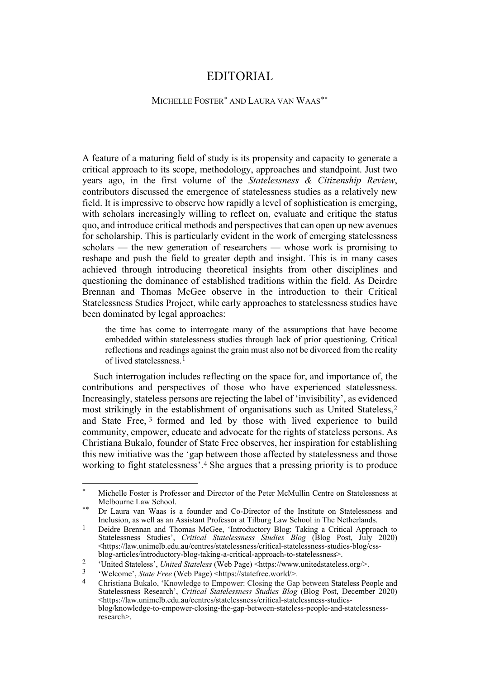## EDITORIAL

## MICHELLE FOSTER[\\*](#page-0-0) AND LAURA VAN WAAS[\\*\\*](#page-0-1)

A feature of a maturing field of study is its propensity and capacity to generate a critical approach to its scope, methodology, approaches and standpoint. Just two years ago, in the first volume of the *Statelessness & Citizenship Review*, contributors discussed the emergence of statelessness studies as a relatively new field. It is impressive to observe how rapidly a level of sophistication is emerging, with scholars increasingly willing to reflect on, evaluate and critique the status quo, and introduce critical methods and perspectives that can open up new avenues for scholarship. This is particularly evident in the work of emerging statelessness scholars — the new generation of researchers — whose work is promising to reshape and push the field to greater depth and insight. This is in many cases achieved through introducing theoretical insights from other disciplines and questioning the dominance of established traditions within the field. As Deirdre Brennan and Thomas McGee observe in the introduction to their Critical Statelessness Studies Project, while early approaches to statelessness studies have been dominated by legal approaches:

the time has come to interrogate many of the assumptions that have become embedded within statelessness studies through lack of prior questioning. Critical reflections and readings against the grain must also not be divorced from the reality of lived statelessness.[1](#page-0-2)

Such interrogation includes reflecting on the space for, and importance of, the contributions and perspectives of those who have experienced statelessness. Increasingly, stateless persons are rejecting the label of 'invisibility', as evidenced most strikingly in the establishment of organisations such as United Stateless,[2](#page-0-3) and State Free, [3](#page-0-4) formed and led by those with lived experience to build community, empower, educate and advocate for the rights of stateless persons. As Christiana Bukalo, founder of State Free observes, her inspiration for establishing this new initiative was the 'gap between those affected by statelessness and those working to fight statelessness'.[4](#page-0-5) She argues that a pressing priority is to produce

<span id="page-0-0"></span>Michelle Foster is Professor and Director of the Peter McMullin Centre on Statelessness at Melbourne Law School.

<span id="page-0-1"></span><sup>\*\*</sup> Dr Laura van Waas is a founder and Co-Director of the Institute on Statelessness and Inclusion, as well as an Assistant Professor at Tilburg Law School in The Netherlands.

<span id="page-0-2"></span><sup>&</sup>lt;sup>1</sup> Deidre Brennan and Thomas McGee, 'Introductory Blog: Taking a Critical Approach to Statelessness Studies', *Critical Statelessness Studies Blog* (Blog Post, July 2020) <https://law.unimelb.edu.au/centres/statelessness/critical-statelessness-studies-blog/cssblog-articles/introductory-blog-taking-a-critical-approach-to-statelessness>.

<span id="page-0-3"></span><sup>&</sup>lt;sup>2</sup> 'United Stateless', *United Stateless* (Web Page) <https://www.unitedstateless.org/>.

<span id="page-0-5"></span><span id="page-0-4"></span> $\frac{3}{4}$  'Welcome', *State Free* (Web Page) <https://statefree.world/>.

<sup>4</sup> Christiana Bukalo, 'Knowledge to Empower: Closing the Gap between Stateless People and Statelessness Research', *Critical Statelessness Studies Blog* (Blog Post, December 2020) <https://law.unimelb.edu.au/centres/statelessness/critical-statelessness-studiesblog/knowledge-to-empower-closing-the-gap-between-stateless-people-and-statelessnessresearch>.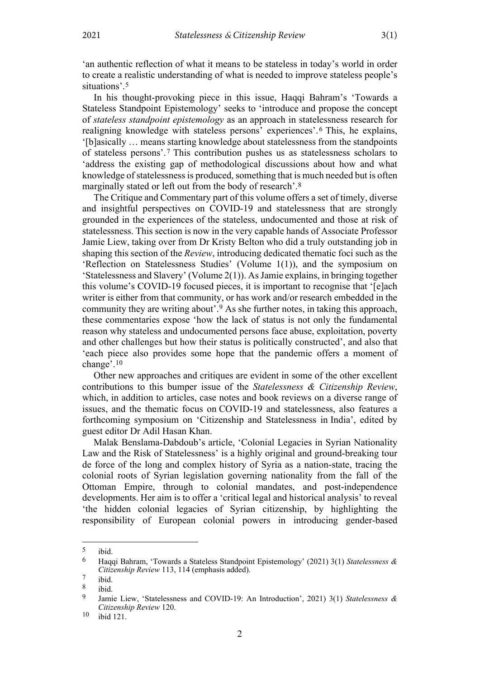'an authentic reflection of what it means to be stateless in today's world in order to create a realistic understanding of what is needed to improve stateless people's situations'.[5](#page-1-0)

In his thought-provoking piece in this issue, Haqqi Bahram's 'Towards a Stateless Standpoint Epistemology' seeks to 'introduce and propose the concept of *stateless standpoint epistemology* as an approach in statelessness research for realigning knowledge with stateless persons' experiences'. [6](#page-1-1) This, he explains, '[b]asically … means starting knowledge about statelessness from the standpoints of stateless persons'.[7](#page-1-2) This contribution pushes us as statelessness scholars to 'address the existing gap of methodological discussions about how and what knowledge of statelessness is produced, something that is much needed but is often marginally stated or left out from the body of research'.[8](#page-1-3)

The Critique and Commentary part of this volume offers a set of timely, diverse and insightful perspectives on COVID-19 and statelessness that are strongly grounded in the experiences of the stateless, undocumented and those at risk of statelessness. This section is now in the very capable hands of Associate Professor Jamie Liew, taking over from Dr Kristy Belton who did a truly outstanding job in shaping this section of the *Review*, introducing dedicated thematic foci such as the 'Reflection on Statelessness Studies' (Volume 1(1)), and the symposium on 'Statelessness and Slavery' (Volume 2(1)). As Jamie explains, in bringing together this volume's COVID-19 focused pieces, it is important to recognise that '[e]ach writer is either from that community, or has work and/or research embedded in the community they are writing about'.[9](#page-1-4) As she further notes, in taking this approach, these commentaries expose 'how the lack of status is not only the fundamental reason why stateless and undocumented persons face abuse, exploitation, poverty and other challenges but how their status is politically constructed', and also that 'each piece also provides some hope that the pandemic offers a moment of change'.[10](#page-1-5)

Other new approaches and critiques are evident in some of the other excellent contributions to this bumper issue of the *Statelessness & Citizenship Review*, which, in addition to articles, case notes and book reviews on a diverse range of issues, and the thematic focus on COVID-19 and statelessness, also features a forthcoming symposium on 'Citizenship and Statelessness in India', edited by guest editor Dr Adil Hasan Khan.

Malak Benslama-Dabdoub's article, 'Colonial Legacies in Syrian Nationality Law and the Risk of Statelessness' is a highly original and ground-breaking tour de force of the long and complex history of Syria as a nation-state, tracing the colonial roots of Syrian legislation governing nationality from the fall of the Ottoman Empire, through to colonial mandates, and post-independence developments. Her aim is to offer a 'critical legal and historical analysis' to reveal 'the hidden colonial legacies of Syrian citizenship, by highlighting the responsibility of European colonial powers in introducing gender-based

<span id="page-1-1"></span><span id="page-1-0"></span> $\begin{matrix} 5 \\ 6 \end{matrix}$  ibid.

<sup>6</sup> Haqqi Bahram, 'Towards a Stateless Standpoint Epistemology' (2021) 3(1) *Statelessness & Citizenship Review* 113, 114 (emphasis added).

<span id="page-1-2"></span> $\begin{matrix} 7 & \text{ibid.} \\ 8 & \text{ibid.} \end{matrix}$ 

<span id="page-1-4"></span><span id="page-1-3"></span> $\frac{8}{9}$  ibid.

<sup>9</sup> Jamie Liew, 'Statelessness and COVID-19: An Introduction', 2021) 3(1) *Statelessness & Citizenship Review* 120.

<span id="page-1-5"></span><sup>10</sup> ibid 121.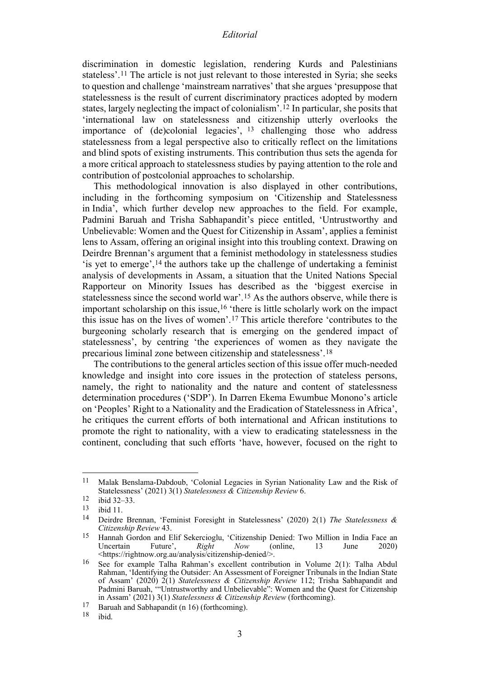## *Editorial*

discrimination in domestic legislation, rendering Kurds and Palestinians stateless'.[11](#page-2-0) The article is not just relevant to those interested in Syria; she seeks to question and challenge 'mainstream narratives' that she argues 'presuppose that statelessness is the result of current discriminatory practices adopted by modern states, largely neglecting the impact of colonialism'.[12](#page-2-1) In particular, she posits that 'international law on statelessness and citizenship utterly overlooks the importance of (de)colonial legacies', [13](#page-2-2) challenging those who address statelessness from a legal perspective also to critically reflect on the limitations and blind spots of existing instruments. This contribution thus sets the agenda for a more critical approach to statelessness studies by paying attention to the role and contribution of postcolonial approaches to scholarship.

This methodological innovation is also displayed in other contributions, including in the forthcoming symposium on 'Citizenship and Statelessness in India', which further develop new approaches to the field. For example, Padmini Baruah and Trisha Sabhapandit's piece entitled, 'Untrustworthy and Unbelievable: Women and the Quest for Citizenship in Assam', applies a feminist lens to Assam, offering an original insight into this troubling context. Drawing on Deirdre Brennan's argument that a feminist methodology in statelessness studies 'is yet to emerge',[14](#page-2-3) the authors take up the challenge of undertaking a feminist analysis of developments in Assam, a situation that the United Nations Special Rapporteur on Minority Issues has described as the 'biggest exercise in statelessness since the second world war'.[15](#page-2-4) As the authors observe, while there is important scholarship on this issue,[16](#page-2-5) 'there is little scholarly work on the impact this issue has on the lives of women'.[17](#page-2-6) This article therefore 'contributes to the burgeoning scholarly research that is emerging on the gendered impact of statelessness', by centring 'the experiences of women as they navigate the precarious liminal zone between citizenship and statelessness'.[18](#page-2-7)

The contributions to the general articles section of this issue offer much-needed knowledge and insight into core issues in the protection of stateless persons, namely, the right to nationality and the nature and content of statelessness determination procedures ('SDP'). In Darren Ekema Ewumbue Monono's article on 'Peoples' Right to a Nationality and the Eradication of Statelessness in Africa', he critiques the current efforts of both international and African institutions to promote the right to nationality, with a view to eradicating statelessness in the continent, concluding that such efforts 'have, however, focused on the right to

<span id="page-2-0"></span><sup>11</sup> Malak Benslama-Dabdoub, 'Colonial Legacies in Syrian Nationality Law and the Risk of Statelessness' (2021) 3(1) *Statelessness & Citizenship Review* 6.

<span id="page-2-1"></span> $\frac{12}{13}$  ibid 32–33.

<span id="page-2-2"></span> $\frac{13}{14}$  ibid 11.

<span id="page-2-3"></span><sup>14</sup> Deirdre Brennan, 'Feminist Foresight in Statelessness' (2020) 2(1) *The Statelessness & Citizenship Review* 43.

<span id="page-2-4"></span><sup>&</sup>lt;sup>15</sup> Hannah Gordon and Elif Sekercioglu, 'Citizenship Denied: Two Million in India Face an<br>Uncertain Future', *Right Now* (online, 13 June 2020) Uncertain Future', *Right Now* (online, 13 June 2020) <https://rightnow.org.au/analysis/citizenship-denied/>.

<span id="page-2-5"></span><sup>16</sup> See for example Talha Rahman's excellent contribution in Volume 2(1): Talha Abdul Rahman, 'Identifying the Outsider: An Assessment of Foreigner Tribunals in the Indian State of Assam' (2020) 2(1) *Statelessness & Citizenship Review* 112; Trisha Sabhapandit and Padmini Baruah, "Untrustworthy and Unbelievable": Women and the Quest for Citizenship in Assam' (2021) 3(1) *Statelessness & Citizenship Review* (forthcoming).

<span id="page-2-7"></span><span id="page-2-6"></span><sup>&</sup>lt;sup>17</sup> Baruah and Sabhapandit (n 16) (forthcoming).<br><sup>18</sup> ibid.

ibid.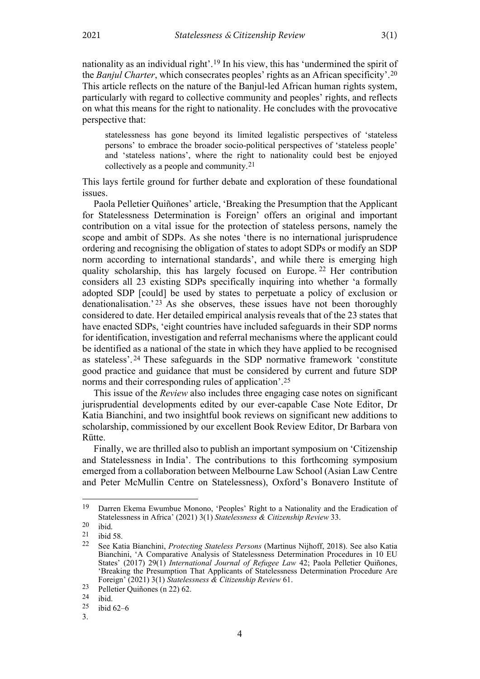nationality as an individual right'.[19](#page-3-0) In his view, this has 'undermined the spirit of the *Banjul Charter*, which consecrates peoples' rights as an African specificity'.[20](#page-3-1) This article reflects on the nature of the Banjul-led African human rights system, particularly with regard to collective community and peoples' rights, and reflects on what this means for the right to nationality. He concludes with the provocative perspective that:

statelessness has gone beyond its limited legalistic perspectives of 'stateless persons' to embrace the broader socio-political perspectives of 'stateless people' and 'stateless nations', where the right to nationality could best be enjoyed collectively as a people and community.[21](#page-3-2)

This lays fertile ground for further debate and exploration of these foundational issues.

Paola Pelletier Quiñones' article, 'Breaking the Presumption that the Applicant for Statelessness Determination is Foreign' offers an original and important contribution on a vital issue for the protection of stateless persons, namely the scope and ambit of SDPs. As she notes 'there is no international jurisprudence ordering and recognising the obligation of states to adopt SDPs or modify an SDP norm according to international standards', and while there is emerging high quality scholarship, this has largely focused on Europe. [22](#page-3-3) Her contribution considers all 23 existing SDPs specifically inquiring into whether 'a formally adopted SDP [could] be used by states to perpetuate a policy of exclusion or denationalisation.' [23](#page-3-4) As she observes, these issues have not been thoroughly considered to date. Her detailed empirical analysis reveals that of the 23 states that have enacted SDPs, 'eight countries have included safeguards in their SDP norms for identification, investigation and referral mechanisms where the applicant could be identified as a national of the state in which they have applied to be recognised as stateless'. [24](#page-3-5) These safeguards in the SDP normative framework 'constitute good practice and guidance that must be considered by current and future SDP norms and their corresponding rules of application'.[25](#page-3-6)

This issue of the *Review* also includes three engaging case notes on significant jurisprudential developments edited by our ever-capable Case Note Editor, Dr Katia Bianchini, and two insightful book reviews on significant new additions to scholarship, commissioned by our excellent Book Review Editor, Dr Barbara von Rütte.

Finally, we are thrilled also to publish an important symposium on 'Citizenship and Statelessness in India'. The contributions to this forthcoming symposium emerged from a collaboration between Melbourne Law School (Asian Law Centre and Peter McMullin Centre on Statelessness), Oxford's Bonavero Institute of

<span id="page-3-0"></span><sup>19</sup> Darren Ekema Ewumbue Monono, 'Peoples' Right to a Nationality and the Eradication of Statelessness in Africa' (2021) 3(1) *Statelessness & Citizenship Review* 33.

<span id="page-3-1"></span> $\begin{bmatrix} 20 & \text{ibid.} \\ 21 & \text{ibid.} \end{bmatrix}$ 

<span id="page-3-3"></span><span id="page-3-2"></span> $\frac{21}{22}$  ibid 58.

<sup>22</sup> See Katia Bianchini, *Protecting Stateless Persons* (Martinus Nijhoff, 2018). See also Katia Bianchini, 'A Comparative Analysis of Statelessness Determination Procedures in 10 EU States' (2017) 29(1) *International Journal of Refugee Law* 42; Paola Pelletier Quiñones, 'Breaking the Presumption That Applicants of Statelessness Determination Procedure Are Foreign' (2021) 3(1) *Statelessness & Citizenship Review* 61.

<span id="page-3-4"></span><sup>23</sup> Pelletier Quiñones (n 22) 62.<br>
24 ibid.<br>
25 ibid.<br>
62–6

<span id="page-3-5"></span>

ibid 62–6

<span id="page-3-6"></span><sup>3.</sup>